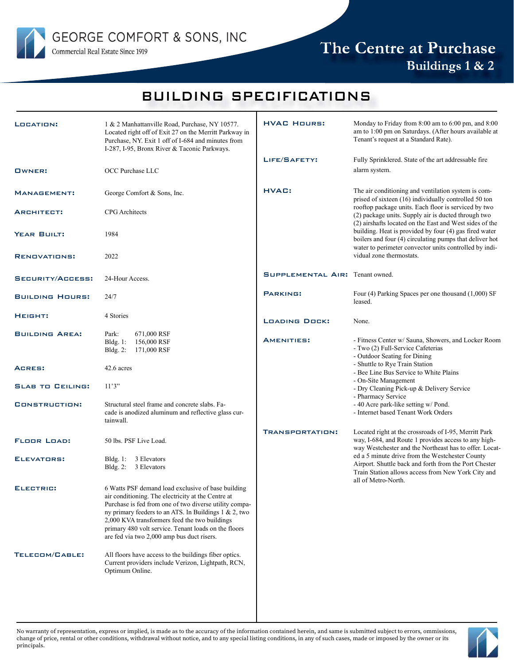

# The Centre at Purchase Buildings 1 & 2

### BUILDING SPECIFICATIONS

| LOCATION:               | 1 & 2 Manhattanville Road, Purchase, NY 10577.<br>Located right off of Exit 27 on the Merritt Parkway in<br>Purchase, NY. Exit 1 off of I-684 and minutes from<br>I-287, I-95, Bronx River & Taconic Parkways.                                                                                                                                                                     | <b>HVAC HOURS:</b>              | Monday to Friday from 8:00 am to 6:00 pm, and 8:00<br>am to 1:00 pm on Saturdays. (After hours available at<br>Tenant's request at a Standard Rate).                                  |
|-------------------------|------------------------------------------------------------------------------------------------------------------------------------------------------------------------------------------------------------------------------------------------------------------------------------------------------------------------------------------------------------------------------------|---------------------------------|---------------------------------------------------------------------------------------------------------------------------------------------------------------------------------------|
| <b>OWNER:</b>           | OCC Purchase LLC                                                                                                                                                                                                                                                                                                                                                                   | LIFE/SAFETY:                    | Fully Sprinklered. State of the art addressable fire<br>alarm system.                                                                                                                 |
| MANAGEMENT:             | George Comfort & Sons, Inc.                                                                                                                                                                                                                                                                                                                                                        | HVAC:                           | The air conditioning and ventilation system is com-<br>prised of sixteen (16) individually controlled 50 ton                                                                          |
| ARCHITECT:              | <b>CPG</b> Architects                                                                                                                                                                                                                                                                                                                                                              |                                 | rooftop package units. Each floor is serviced by two<br>(2) package units. Supply air is ducted through two<br>(2) airshafts located on the East and West sides of the                |
| YEAR BUILT:             | 1984                                                                                                                                                                                                                                                                                                                                                                               |                                 | building. Heat is provided by four (4) gas fired water<br>boilers and four (4) circulating pumps that deliver hot<br>water to perimeter convector units controlled by indi-           |
| <b>RENOVATIONS:</b>     | 2022                                                                                                                                                                                                                                                                                                                                                                               |                                 | vidual zone thermostats.                                                                                                                                                              |
| SECURITY/ACCESS:        | 24-Hour Access.                                                                                                                                                                                                                                                                                                                                                                    | SUPPLEMENTAL AIR: Tenant owned. |                                                                                                                                                                                       |
| <b>BUILDING HOURS:</b>  | 24/7                                                                                                                                                                                                                                                                                                                                                                               | <b>PARKING:</b>                 | Four (4) Parking Spaces per one thousand (1,000) SF<br>leased.                                                                                                                        |
| HEIGHT:                 | 4 Stories                                                                                                                                                                                                                                                                                                                                                                          | <b>LOADING DOCK:</b>            | None.                                                                                                                                                                                 |
| <b>BUILDING AREA:</b>   | 671,000 RSF<br>Park:<br>Bldg. $1$ :<br>156,000 RSF<br>Bldg. 2:<br>171,000 RSF                                                                                                                                                                                                                                                                                                      | <b>AMENITIES:</b>               | - Fitness Center w/ Sauna, Showers, and Locker Room<br>- Two (2) Full-Service Cafeterias<br>- Outdoor Seating for Dining                                                              |
| ACRES:                  | 42.6 acres                                                                                                                                                                                                                                                                                                                                                                         |                                 | - Shuttle to Rye Train Station<br>- Bee Line Bus Service to White Plains<br>- On-Site Management                                                                                      |
| <b>SLAB TO CEILING:</b> | 11'3''                                                                                                                                                                                                                                                                                                                                                                             |                                 | - Dry Cleaning Pick-up & Delivery Service<br>- Pharmacy Service                                                                                                                       |
| CONSTRUCTION:           | Structural steel frame and concrete slabs. Fa-<br>cade is anodized aluminum and reflective glass cur-<br>tainwall.                                                                                                                                                                                                                                                                 |                                 | - 40 Acre park-like setting w/ Pond.<br>- Internet based Tenant Work Orders                                                                                                           |
| <b>FLOOR LOAD:</b>      | 50 lbs. PSF Live Load.                                                                                                                                                                                                                                                                                                                                                             | TRANSPORTATION:                 | Located right at the crossroads of I-95, Merritt Park<br>way, I-684, and Route 1 provides access to any high-<br>way Westchester and the Northeast has to offer. Locat-               |
| ELEVATORS:              | Bldg. 1: 3 Elevators<br>Bldg. 2: 3 Elevators                                                                                                                                                                                                                                                                                                                                       |                                 | ed a 5 minute drive from the Westchester County<br>Airport. Shuttle back and forth from the Port Chester<br>Train Station allows access from New York City and<br>all of Metro-North. |
| ELECTRIC:               | 6 Watts PSF demand load exclusive of base building<br>air conditioning. The electricity at the Centre at<br>Purchase is fed from one of two diverse utility compa-<br>ny primary feeders to an ATS. In Buildings 1 & 2, two<br>2,000 KVA transformers feed the two buildings<br>primary 480 volt service. Tenant loads on the floors<br>are fed via two 2,000 amp bus duct risers. |                                 |                                                                                                                                                                                       |
| TELECOM/CABLE:          | All floors have access to the buildings fiber optics.<br>Current providers include Verizon, Lightpath, RCN,<br>Optimum Online.                                                                                                                                                                                                                                                     |                                 |                                                                                                                                                                                       |

No warranty of representation, express or implied, is made as to the accuracy of the information contained herein, and same is submitted subject to errors, ommissions, change of price, rental or other conditions, withdrawal without notice, and to any special listing conditions, in any of such cases, made or imposed by the owner or its principals.

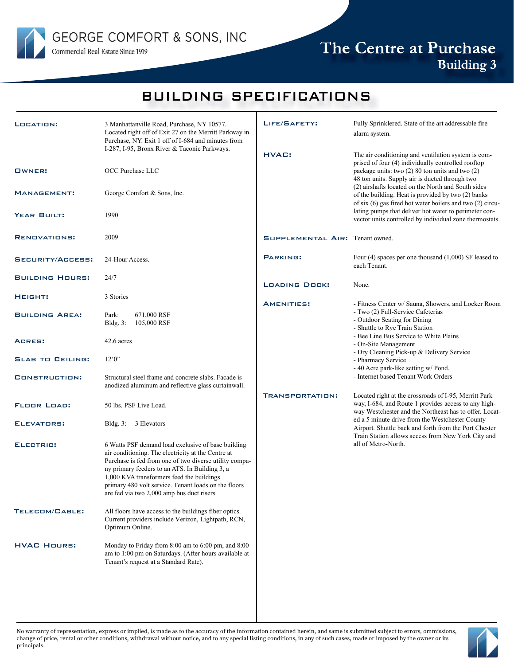

### The Centre at Purchase Building 3

### BUILDING SPECIFICATIONS

| LOCATION:               | 3 Manhattanville Road, Purchase, NY 10577.<br>Located right off of Exit 27 on the Merritt Parkway in<br>Purchase, NY. Exit 1 off of I-684 and minutes from<br>I-287, I-95, Bronx River & Taconic Parkways.                                                                                                                                                              | LIFE/SAFETY:                           | Fully Sprinklered. State of the art addressable fire<br>alarm system.                                                                                                                                                                                                                                                                                                                                                                                                                                           |
|-------------------------|-------------------------------------------------------------------------------------------------------------------------------------------------------------------------------------------------------------------------------------------------------------------------------------------------------------------------------------------------------------------------|----------------------------------------|-----------------------------------------------------------------------------------------------------------------------------------------------------------------------------------------------------------------------------------------------------------------------------------------------------------------------------------------------------------------------------------------------------------------------------------------------------------------------------------------------------------------|
| OWNER:                  | OCC Purchase LLC                                                                                                                                                                                                                                                                                                                                                        | <b>HVAC:</b>                           | The air conditioning and ventilation system is com-<br>prised of four (4) individually controlled rooftop<br>package units: two (2) 80 ton units and two (2)<br>48 ton units. Supply air is ducted through two<br>(2) airshafts located on the North and South sides<br>of the building. Heat is provided by two (2) banks<br>of six $(6)$ gas fired hot water boilers and two $(2)$ circu-<br>lating pumps that deliver hot water to perimeter con-<br>vector units controlled by individual zone thermostats. |
| MANAGEMENT:             | George Comfort & Sons, Inc.                                                                                                                                                                                                                                                                                                                                             |                                        |                                                                                                                                                                                                                                                                                                                                                                                                                                                                                                                 |
| <b>YEAR BUILT:</b>      | 1990                                                                                                                                                                                                                                                                                                                                                                    |                                        |                                                                                                                                                                                                                                                                                                                                                                                                                                                                                                                 |
| <b>RENOVATIONS:</b>     | 2009                                                                                                                                                                                                                                                                                                                                                                    | <b>SUPPLEMENTAL AIR: Tenant owned.</b> |                                                                                                                                                                                                                                                                                                                                                                                                                                                                                                                 |
| SECURITY/ACCESS:        | 24-Hour Access.                                                                                                                                                                                                                                                                                                                                                         | <b>PARKING:</b>                        | Four $(4)$ spaces per one thousand $(1,000)$ SF leased to<br>each Tenant.                                                                                                                                                                                                                                                                                                                                                                                                                                       |
| <b>BUILDING HOURS:</b>  | 24/7                                                                                                                                                                                                                                                                                                                                                                    | <b>LOADING DOCK:</b>                   | None.                                                                                                                                                                                                                                                                                                                                                                                                                                                                                                           |
| HEIGHT:                 | 3 Stories                                                                                                                                                                                                                                                                                                                                                               | <b>AMENITIES:</b>                      | - Fitness Center w/ Sauna, Showers, and Locker Room                                                                                                                                                                                                                                                                                                                                                                                                                                                             |
| <b>BUILDING AREA:</b>   | Park:<br>671,000 RSF<br>Bldg. $3$ :<br>105,000 RSF                                                                                                                                                                                                                                                                                                                      |                                        | - Two (2) Full-Service Cafeterias<br>- Outdoor Seating for Dining<br>- Shuttle to Rye Train Station                                                                                                                                                                                                                                                                                                                                                                                                             |
| ACRES:                  | 42.6 acres                                                                                                                                                                                                                                                                                                                                                              |                                        | - Bee Line Bus Service to White Plains<br>- On-Site Management                                                                                                                                                                                                                                                                                                                                                                                                                                                  |
| <b>SLAB TO CEILING:</b> | 12'0''                                                                                                                                                                                                                                                                                                                                                                  |                                        | - Dry Cleaning Pick-up & Delivery Service<br>- Pharmacy Service<br>- 40 Acre park-like setting w/ Pond.                                                                                                                                                                                                                                                                                                                                                                                                         |
| CONSTRUCTION:           | Structural steel frame and concrete slabs. Facade is<br>anodized aluminum and reflective glass curtainwall.                                                                                                                                                                                                                                                             |                                        | - Internet based Tenant Work Orders                                                                                                                                                                                                                                                                                                                                                                                                                                                                             |
| <b>FLOOR LOAD:</b>      | 50 lbs. PSF Live Load.                                                                                                                                                                                                                                                                                                                                                  | <b>TRANSPORTATION:</b>                 | Located right at the crossroads of I-95, Merritt Park<br>way, I-684, and Route 1 provides access to any high-<br>way Westchester and the Northeast has to offer. Locat-<br>ed a 5 minute drive from the Westchester County<br>Airport. Shuttle back and forth from the Port Chester<br>Train Station allows access from New York City and<br>all of Metro-North.                                                                                                                                                |
| ELEVATORS:              | Bldg. 3: 3 Elevators                                                                                                                                                                                                                                                                                                                                                    |                                        |                                                                                                                                                                                                                                                                                                                                                                                                                                                                                                                 |
| ELECTRIC:               | 6 Watts PSF demand load exclusive of base building<br>air conditioning. The electricity at the Centre at<br>Purchase is fed from one of two diverse utility compa-<br>ny primary feeders to an ATS. In Building 3, a<br>1,000 KVA transformers feed the buildings<br>primary 480 volt service. Tenant loads on the floors<br>are fed via two 2,000 amp bus duct risers. |                                        |                                                                                                                                                                                                                                                                                                                                                                                                                                                                                                                 |
| TELECOM/CABLE:          | All floors have access to the buildings fiber optics.<br>Current providers include Verizon, Lightpath, RCN,<br>Optimum Online.                                                                                                                                                                                                                                          |                                        |                                                                                                                                                                                                                                                                                                                                                                                                                                                                                                                 |
| <b>HVAC HOURS:</b>      | Monday to Friday from 8:00 am to 6:00 pm, and 8:00<br>am to 1:00 pm on Saturdays. (After hours available at<br>Tenant's request at a Standard Rate).                                                                                                                                                                                                                    |                                        |                                                                                                                                                                                                                                                                                                                                                                                                                                                                                                                 |

No warranty of representation, express or implied, is made as to the accuracy of the information contained herein, and same is submitted subject to errors, ommissions, change of price, rental or other conditions, withdrawal without notice, and to any special listing conditions, in any of such cases, made or imposed by the owner or its principals.